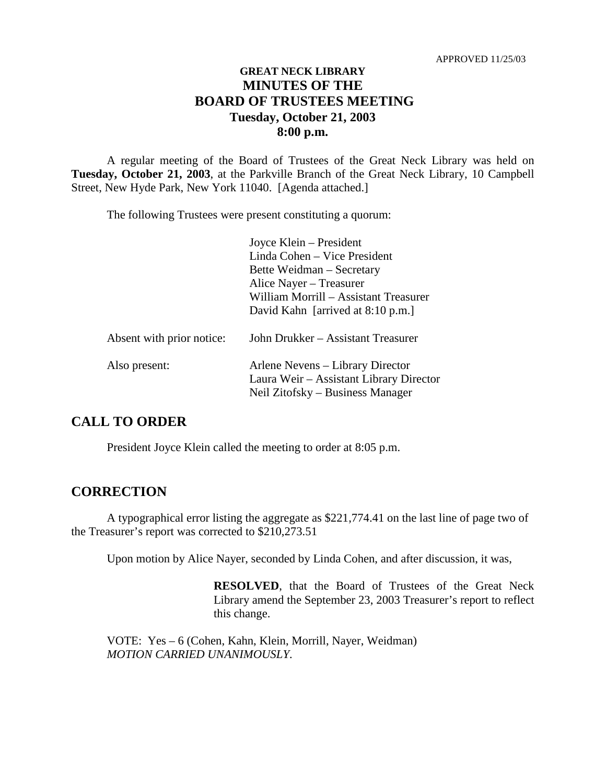## **GREAT NECK LIBRARY MINUTES OF THE BOARD OF TRUSTEES MEETING Tuesday, October 21, 2003 8:00 p.m.**

A regular meeting of the Board of Trustees of the Great Neck Library was held on **Tuesday, October 21, 2003**, at the Parkville Branch of the Great Neck Library, 10 Campbell Street, New Hyde Park, New York 11040. [Agenda attached.]

The following Trustees were present constituting a quorum:

| Joyce Klein – President                 |
|-----------------------------------------|
| Linda Cohen – Vice President            |
| Bette Weidman – Secretary               |
| Alice Nayer - Treasurer                 |
| William Morrill – Assistant Treasurer   |
| David Kahn [arrived at $8:10$ p.m.]     |
|                                         |
| John Drukker – Assistant Treasurer      |
|                                         |
| Arlene Nevens – Library Director        |
| Laura Weir - Assistant Library Director |
| Neil Zitofsky – Business Manager        |
|                                         |

### **CALL TO ORDER**

President Joyce Klein called the meeting to order at 8:05 p.m.

#### **CORRECTION**

A typographical error listing the aggregate as \$221,774.41 on the last line of page two of the Treasurer's report was corrected to \$210,273.51

Upon motion by Alice Nayer, seconded by Linda Cohen, and after discussion, it was,

**RESOLVED**, that the Board of Trustees of the Great Neck Library amend the September 23, 2003 Treasurer's report to reflect this change.

VOTE:Yes – 6 (Cohen, Kahn, Klein, Morrill, Nayer, Weidman) *MOTION CARRIED UNANIMOUSLY.*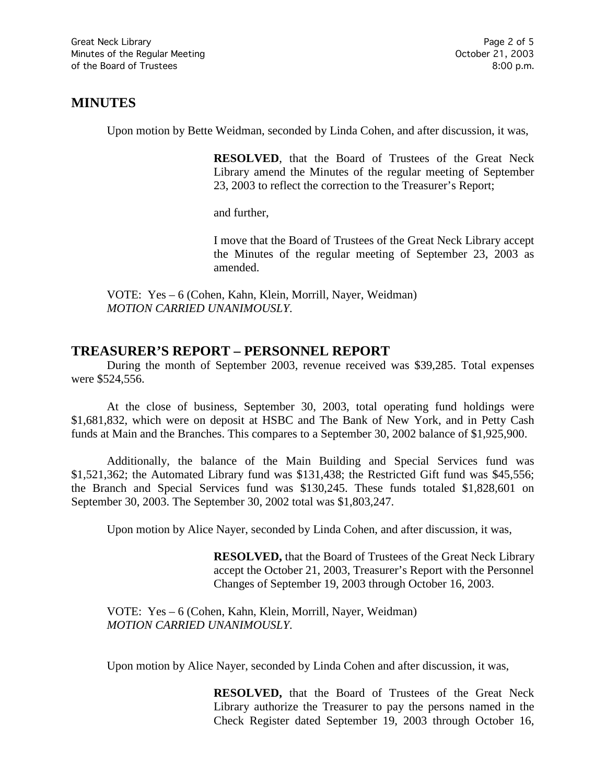## **MINUTES**

Upon motion by Bette Weidman, seconded by Linda Cohen, and after discussion, it was,

**RESOLVED**, that the Board of Trustees of the Great Neck Library amend the Minutes of the regular meeting of September 23, 2003 to reflect the correction to the Treasurer's Report;

and further,

I move that the Board of Trustees of the Great Neck Library accept the Minutes of the regular meeting of September 23, 2003 as amended.

VOTE:Yes – 6 (Cohen, Kahn, Klein, Morrill, Nayer, Weidman) *MOTION CARRIED UNANIMOUSLY.*

## **TREASURER'S REPORT – PERSONNEL REPORT**

During the month of September 2003, revenue received was \$39,285. Total expenses were \$524,556.

At the close of business, September 30, 2003, total operating fund holdings were \$1,681,832, which were on deposit at HSBC and The Bank of New York, and in Petty Cash funds at Main and the Branches. This compares to a September 30, 2002 balance of \$1,925,900.

Additionally, the balance of the Main Building and Special Services fund was \$1,521,362; the Automated Library fund was \$131,438; the Restricted Gift fund was \$45,556; the Branch and Special Services fund was \$130,245. These funds totaled \$1,828,601 on September 30, 2003. The September 30, 2002 total was \$1,803,247.

Upon motion by Alice Nayer, seconded by Linda Cohen, and after discussion, it was,

**RESOLVED,** that the Board of Trustees of the Great Neck Library accept the October 21, 2003, Treasurer's Report with the Personnel Changes of September 19, 2003 through October 16, 2003.

VOTE:Yes – 6 (Cohen, Kahn, Klein, Morrill, Nayer, Weidman) *MOTION CARRIED UNANIMOUSLY.*

Upon motion by Alice Nayer, seconded by Linda Cohen and after discussion, it was,

**RESOLVED,** that the Board of Trustees of the Great Neck Library authorize the Treasurer to pay the persons named in the Check Register dated September 19, 2003 through October 16,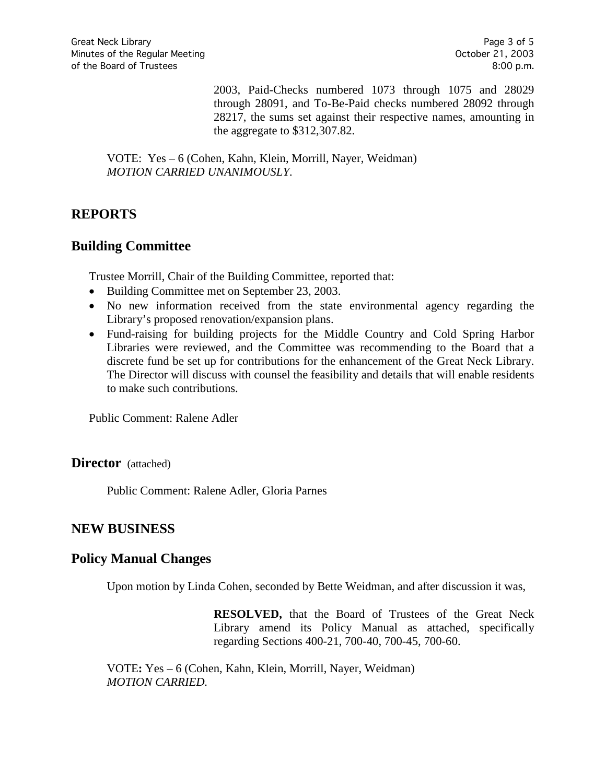2003, Paid-Checks numbered 1073 through 1075 and 28029 through 28091, and To-Be-Paid checks numbered 28092 through 28217, the sums set against their respective names, amounting in the aggregate to \$312,307.82.

VOTE:Yes – 6 (Cohen, Kahn, Klein, Morrill, Nayer, Weidman) *MOTION CARRIED UNANIMOUSLY.*

## **REPORTS**

### **Building Committee**

Trustee Morrill, Chair of the Building Committee, reported that:

- Building Committee met on September 23, 2003.
- No new information received from the state environmental agency regarding the Library's proposed renovation/expansion plans.
- Fund-raising for building projects for the Middle Country and Cold Spring Harbor Libraries were reviewed, and the Committee was recommending to the Board that a discrete fund be set up for contributions for the enhancement of the Great Neck Library. The Director will discuss with counsel the feasibility and details that will enable residents to make such contributions.

Public Comment: Ralene Adler

**Director** (attached)

Public Comment: Ralene Adler, Gloria Parnes

## **NEW BUSINESS**

#### **Policy Manual Changes**

Upon motion by Linda Cohen, seconded by Bette Weidman, and after discussion it was,

**RESOLVED,** that the Board of Trustees of the Great Neck Library amend its Policy Manual as attached, specifically regarding Sections 400-21, 700-40, 700-45, 700-60.

VOTE**:** Yes – 6 (Cohen, Kahn, Klein, Morrill, Nayer, Weidman) *MOTION CARRIED.*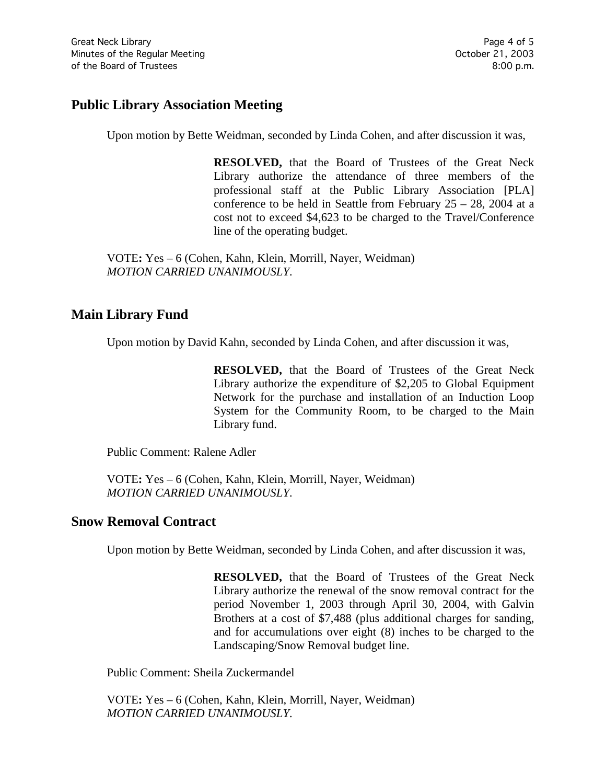# **Public Library Association Meeting**

Upon motion by Bette Weidman, seconded by Linda Cohen, and after discussion it was,

**RESOLVED,** that the Board of Trustees of the Great Neck Library authorize the attendance of three members of the professional staff at the Public Library Association [PLA] conference to be held in Seattle from February 25 – 28, 2004 at a cost not to exceed \$4,623 to be charged to the Travel/Conference line of the operating budget.

VOTE**:** Yes – 6 (Cohen, Kahn, Klein, Morrill, Nayer, Weidman) *MOTION CARRIED UNANIMOUSLY.*

## **Main Library Fund**

Upon motion by David Kahn, seconded by Linda Cohen, and after discussion it was,

**RESOLVED,** that the Board of Trustees of the Great Neck Library authorize the expenditure of \$2,205 to Global Equipment Network for the purchase and installation of an Induction Loop System for the Community Room, to be charged to the Main Library fund.

Public Comment: Ralene Adler

VOTE**:** Yes – 6 (Cohen, Kahn, Klein, Morrill, Nayer, Weidman) *MOTION CARRIED UNANIMOUSLY.*

## **Snow Removal Contract**

Upon motion by Bette Weidman, seconded by Linda Cohen, and after discussion it was,

**RESOLVED,** that the Board of Trustees of the Great Neck Library authorize the renewal of the snow removal contract for the period November 1, 2003 through April 30, 2004, with Galvin Brothers at a cost of \$7,488 (plus additional charges for sanding, and for accumulations over eight (8) inches to be charged to the Landscaping/Snow Removal budget line.

Public Comment: Sheila Zuckermandel

VOTE**:** Yes – 6 (Cohen, Kahn, Klein, Morrill, Nayer, Weidman) *MOTION CARRIED UNANIMOUSLY.*